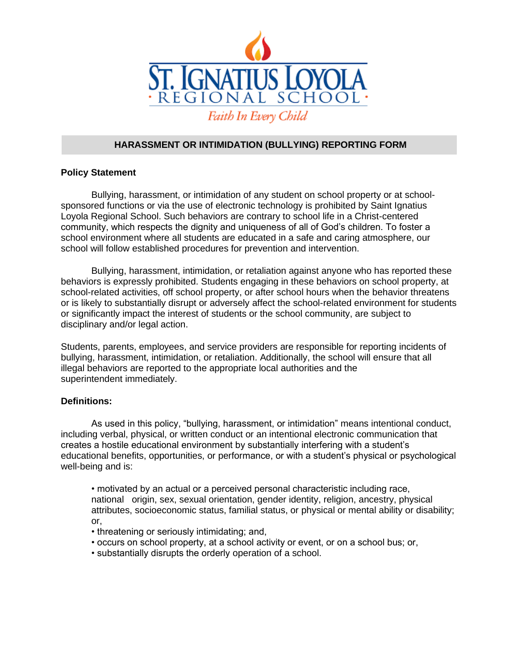

## **HARASSMENT OR INTIMIDATION (BULLYING) REPORTING FORM**

### **Policy Statement**

Bullying, harassment, or intimidation of any student on school property or at schoolsponsored functions or via the use of electronic technology is prohibited by Saint Ignatius Loyola Regional School. Such behaviors are contrary to school life in a Christ-centered community, which respects the dignity and uniqueness of all of God's children. To foster a school environment where all students are educated in a safe and caring atmosphere, our school will follow established procedures for prevention and intervention.

Bullying, harassment, intimidation, or retaliation against anyone who has reported these behaviors is expressly prohibited. Students engaging in these behaviors on school property, at school-related activities, off school property, or after school hours when the behavior threatens or is likely to substantially disrupt or adversely affect the school-related environment for students or significantly impact the interest of students or the school community, are subject to disciplinary and/or legal action.

Students, parents, employees, and service providers are responsible for reporting incidents of bullying, harassment, intimidation, or retaliation. Additionally, the school will ensure that all illegal behaviors are reported to the appropriate local authorities and the superintendent immediately.

### **Definitions:**

As used in this policy, "bullying, harassment, or intimidation" means intentional conduct, including verbal, physical, or written conduct or an intentional electronic communication that creates a hostile educational environment by substantially interfering with a student's educational benefits, opportunities, or performance, or with a student's physical or psychological well-being and is:

• motivated by an actual or a perceived personal characteristic including race, national origin, sex, sexual orientation, gender identity, religion, ancestry, physical attributes, socioeconomic status, familial status, or physical or mental ability or disability; or,

- threatening or seriously intimidating; and,
- occurs on school property, at a school activity or event, or on a school bus; or,
- substantially disrupts the orderly operation of a school.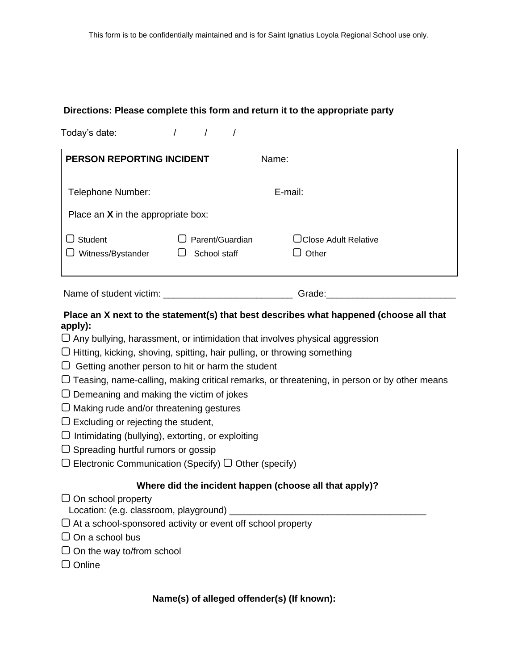## **Directions: Please complete this form and return it to the appropriate party**

Today's date:  $\frac{1}{2}$  / / / **PERSON REPORTING INCIDENT** Name: Telephone Number: E-mail: Place an **X** in the appropriate box:

| $\Box$ Student           | $\Box$ Parent/Guardian | <b>□ Close Adult Relative</b> |
|--------------------------|------------------------|-------------------------------|
| $\Box$ Witness/Bystander | $\Box$ School staff    | $\Box$ Other                  |
|                          |                        |                               |

Name of student victim: \_\_\_\_\_\_\_\_\_\_\_\_\_\_\_\_\_\_\_\_\_\_\_\_\_\_\_\_\_\_\_\_\_\_\_Grade: \_\_\_\_\_\_\_\_\_\_\_\_\_\_

# **Place an X next to the statement(s) that best describes what happened (choose all that apply):**

 $\Box$  Any bullying, harassment, or intimidation that involves physical aggression

- ▢ Hitting, kicking, shoving, spitting, hair pulling, or throwing something
- $\Box$  Getting another person to hit or harm the student
- ▢ Teasing, name-calling, making critical remarks, or threatening, in person or by other means
- $\Box$  Demeaning and making the victim of jokes
- ▢ Making rude and/or threatening gestures
- $\Box$  Excluding or rejecting the student,
- $\Box$  Intimidating (bullying), extorting, or exploiting
- $\Box$  Spreading hurtful rumors or gossip
- $\Box$  Electronic Communication (Specify)  $\Box$  Other (specify)

## **Where did the incident happen (choose all that apply)?**

▢ On school property

Location: (e.g. classroom, playground) \_\_\_\_\_

- $\Box$  At a school-sponsored activity or event off school property
- $\Box$  On a school bus
- $\Box$  On the way to/from school
- ▢ Online

### **Name(s) of alleged offender(s) (If known):**